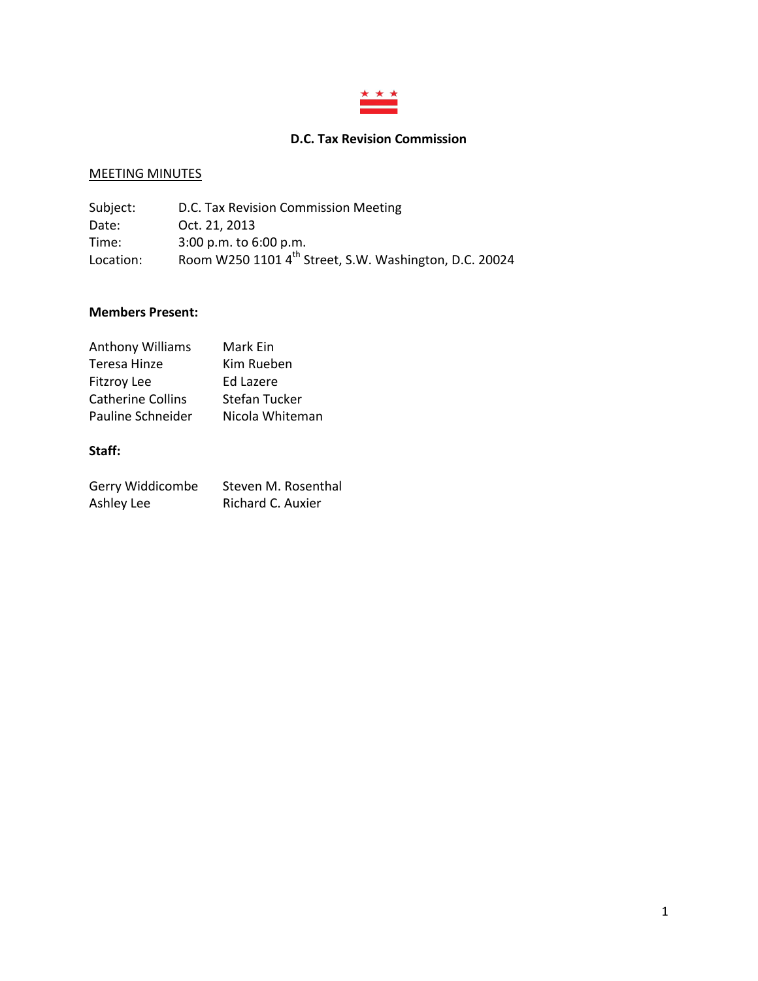

# **D.C. Tax Revision Commission**

# MEETING MINUTES

| Subject:  | D.C. Tax Revision Commission Meeting                               |
|-----------|--------------------------------------------------------------------|
| Date:     | Oct. 21, 2013                                                      |
| Time:     | $3:00$ p.m. to $6:00$ p.m.                                         |
| Location: | Room W250 1101 4 <sup>th</sup> Street, S.W. Washington, D.C. 20024 |

### **Members Present:**

| <b>Anthony Williams</b>  | Mark Ein             |
|--------------------------|----------------------|
| Teresa Hinze             | Kim Rueben           |
| <b>Fitzroy Lee</b>       | Ed Lazere            |
| <b>Catherine Collins</b> | <b>Stefan Tucker</b> |
| Pauline Schneider        | Nicola Whiteman      |

# **Staff:**

| Gerry Widdicombe | Steven M. Rosenthal |
|------------------|---------------------|
| Ashley Lee       | Richard C. Auxier   |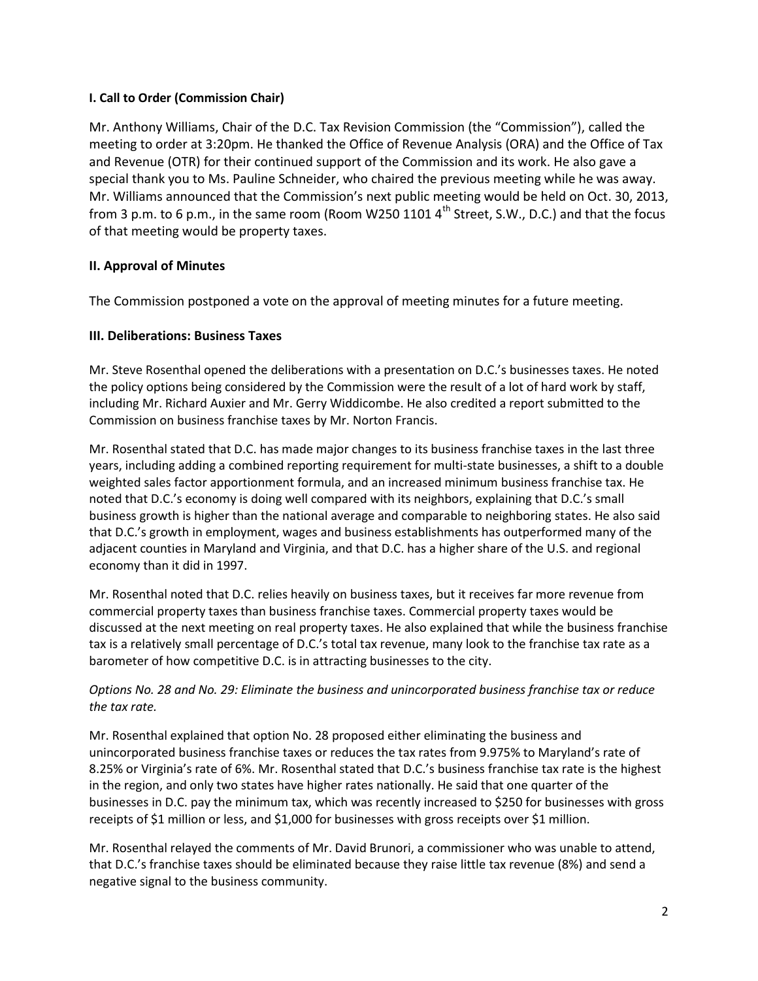## **I. Call to Order (Commission Chair)**

Mr. Anthony Williams, Chair of the D.C. Tax Revision Commission (the "Commission"), called the meeting to order at 3:20pm. He thanked the Office of Revenue Analysis (ORA) and the Office of Tax and Revenue (OTR) for their continued support of the Commission and its work. He also gave a special thank you to Ms. Pauline Schneider, who chaired the previous meeting while he was away. Mr. Williams announced that the Commission's next public meeting would be held on Oct. 30, 2013, from 3 p.m. to 6 p.m., in the same room (Room W250 1101  $4^{\text{th}}$  Street, S.W., D.C.) and that the focus of that meeting would be property taxes.

# **II. Approval of Minutes**

The Commission postponed a vote on the approval of meeting minutes for a future meeting.

# **III. Deliberations: Business Taxes**

Mr. Steve Rosenthal opened the deliberations with a presentation on D.C.'s businesses taxes. He noted the policy options being considered by the Commission were the result of a lot of hard work by staff, including Mr. Richard Auxier and Mr. Gerry Widdicombe. He also credited a report submitted to the Commission on business franchise taxes by Mr. Norton Francis.

Mr. Rosenthal stated that D.C. has made major changes to its business franchise taxes in the last three years, including adding a combined reporting requirement for multi-state businesses, a shift to a double weighted sales factor apportionment formula, and an increased minimum business franchise tax. He noted that D.C.'s economy is doing well compared with its neighbors, explaining that D.C.'s small business growth is higher than the national average and comparable to neighboring states. He also said that D.C.'s growth in employment, wages and business establishments has outperformed many of the adjacent counties in Maryland and Virginia, and that D.C. has a higher share of the U.S. and regional economy than it did in 1997.

Mr. Rosenthal noted that D.C. relies heavily on business taxes, but it receives far more revenue from commercial property taxes than business franchise taxes. Commercial property taxes would be discussed at the next meeting on real property taxes. He also explained that while the business franchise tax is a relatively small percentage of D.C.'s total tax revenue, many look to the franchise tax rate as a barometer of how competitive D.C. is in attracting businesses to the city.

# *Options No. 28 and No. 29: Eliminate the business and unincorporated business franchise tax or reduce the tax rate.*

Mr. Rosenthal explained that option No. 28 proposed either eliminating the business and unincorporated business franchise taxes or reduces the tax rates from 9.975% to Maryland's rate of 8.25% or Virginia's rate of 6%. Mr. Rosenthal stated that D.C.'s business franchise tax rate is the highest in the region, and only two states have higher rates nationally. He said that one quarter of the businesses in D.C. pay the minimum tax, which was recently increased to \$250 for businesses with gross receipts of \$1 million or less, and \$1,000 for businesses with gross receipts over \$1 million.

Mr. Rosenthal relayed the comments of Mr. David Brunori, a commissioner who was unable to attend, that D.C.'s franchise taxes should be eliminated because they raise little tax revenue (8%) and send a negative signal to the business community.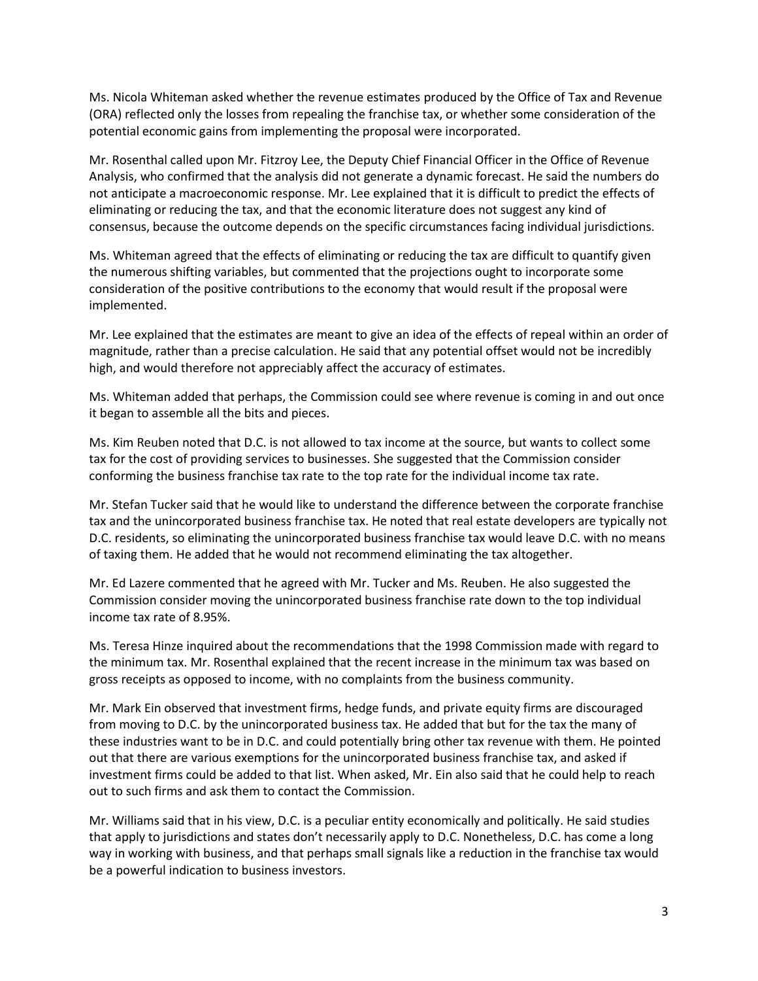Ms. Nicola Whiteman asked whether the revenue estimates produced by the Office of Tax and Revenue (ORA) reflected only the losses from repealing the franchise tax, or whether some consideration of the potential economic gains from implementing the proposal were incorporated.

Mr. Rosenthal called upon Mr. Fitzroy Lee, the Deputy Chief Financial Officer in the Office of Revenue Analysis, who confirmed that the analysis did not generate a dynamic forecast. He said the numbers do not anticipate a macroeconomic response. Mr. Lee explained that it is difficult to predict the effects of eliminating or reducing the tax, and that the economic literature does not suggest any kind of consensus, because the outcome depends on the specific circumstances facing individual jurisdictions.

Ms. Whiteman agreed that the effects of eliminating or reducing the tax are difficult to quantify given the numerous shifting variables, but commented that the projections ought to incorporate some consideration of the positive contributions to the economy that would result if the proposal were implemented.

Mr. Lee explained that the estimates are meant to give an idea of the effects of repeal within an order of magnitude, rather than a precise calculation. He said that any potential offset would not be incredibly high, and would therefore not appreciably affect the accuracy of estimates.

Ms. Whiteman added that perhaps, the Commission could see where revenue is coming in and out once it began to assemble all the bits and pieces.

Ms. Kim Reuben noted that D.C. is not allowed to tax income at the source, but wants to collect some tax for the cost of providing services to businesses. She suggested that the Commission consider conforming the business franchise tax rate to the top rate for the individual income tax rate.

Mr. Stefan Tucker said that he would like to understand the difference between the corporate franchise tax and the unincorporated business franchise tax. He noted that real estate developers are typically not D.C. residents, so eliminating the unincorporated business franchise tax would leave D.C. with no means of taxing them. He added that he would not recommend eliminating the tax altogether.

Mr. Ed Lazere commented that he agreed with Mr. Tucker and Ms. Reuben. He also suggested the Commission consider moving the unincorporated business franchise rate down to the top individual income tax rate of 8.95%.

Ms. Teresa Hinze inquired about the recommendations that the 1998 Commission made with regard to the minimum tax. Mr. Rosenthal explained that the recent increase in the minimum tax was based on gross receipts as opposed to income, with no complaints from the business community.

Mr. Mark Ein observed that investment firms, hedge funds, and private equity firms are discouraged from moving to D.C. by the unincorporated business tax. He added that but for the tax the many of these industries want to be in D.C. and could potentially bring other tax revenue with them. He pointed out that there are various exemptions for the unincorporated business franchise tax, and asked if investment firms could be added to that list. When asked, Mr. Ein also said that he could help to reach out to such firms and ask them to contact the Commission.

Mr. Williams said that in his view, D.C. is a peculiar entity economically and politically. He said studies that apply to jurisdictions and states don't necessarily apply to D.C. Nonetheless, D.C. has come a long way in working with business, and that perhaps small signals like a reduction in the franchise tax would be a powerful indication to business investors.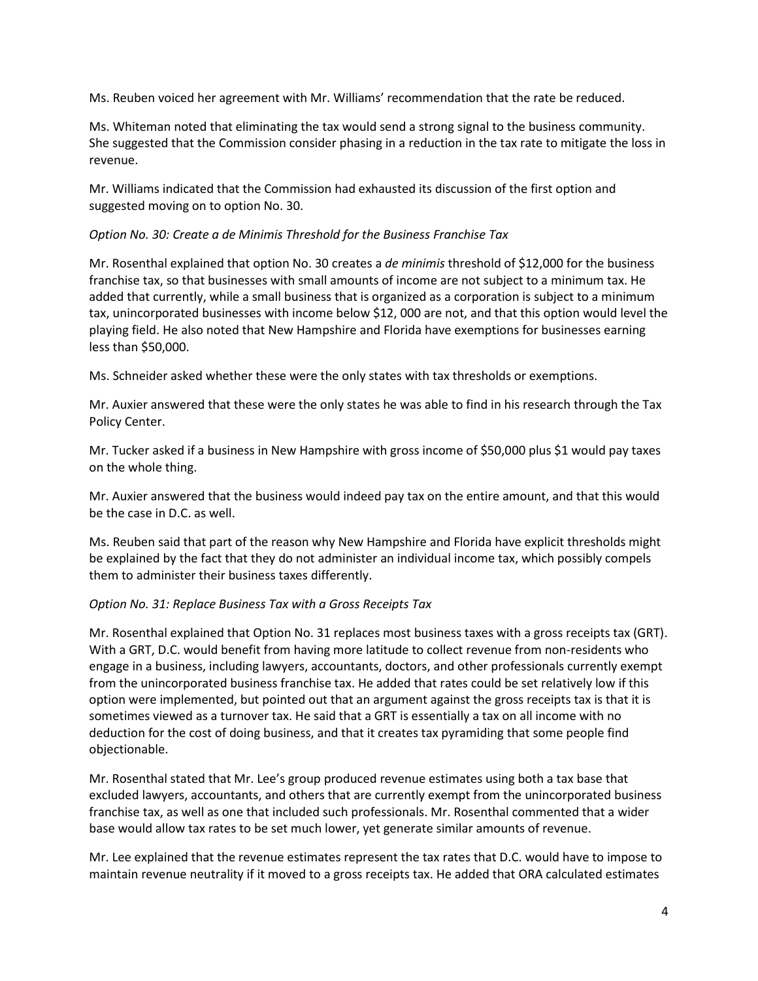Ms. Reuben voiced her agreement with Mr. Williams' recommendation that the rate be reduced.

Ms. Whiteman noted that eliminating the tax would send a strong signal to the business community. She suggested that the Commission consider phasing in a reduction in the tax rate to mitigate the loss in revenue.

Mr. Williams indicated that the Commission had exhausted its discussion of the first option and suggested moving on to option No. 30.

## *Option No. 30: Create a de Minimis Threshold for the Business Franchise Tax*

Mr. Rosenthal explained that option No. 30 creates a *de minimis* threshold of \$12,000 for the business franchise tax, so that businesses with small amounts of income are not subject to a minimum tax. He added that currently, while a small business that is organized as a corporation is subject to a minimum tax, unincorporated businesses with income below \$12, 000 are not, and that this option would level the playing field. He also noted that New Hampshire and Florida have exemptions for businesses earning less than \$50,000.

Ms. Schneider asked whether these were the only states with tax thresholds or exemptions.

Mr. Auxier answered that these were the only states he was able to find in his research through the Tax Policy Center.

Mr. Tucker asked if a business in New Hampshire with gross income of \$50,000 plus \$1 would pay taxes on the whole thing.

Mr. Auxier answered that the business would indeed pay tax on the entire amount, and that this would be the case in D.C. as well.

Ms. Reuben said that part of the reason why New Hampshire and Florida have explicit thresholds might be explained by the fact that they do not administer an individual income tax, which possibly compels them to administer their business taxes differently.

#### *Option No. 31: Replace Business Tax with a Gross Receipts Tax*

Mr. Rosenthal explained that Option No. 31 replaces most business taxes with a gross receipts tax (GRT). With a GRT, D.C. would benefit from having more latitude to collect revenue from non-residents who engage in a business, including lawyers, accountants, doctors, and other professionals currently exempt from the unincorporated business franchise tax. He added that rates could be set relatively low if this option were implemented, but pointed out that an argument against the gross receipts tax is that it is sometimes viewed as a turnover tax. He said that a GRT is essentially a tax on all income with no deduction for the cost of doing business, and that it creates tax pyramiding that some people find objectionable.

Mr. Rosenthal stated that Mr. Lee's group produced revenue estimates using both a tax base that excluded lawyers, accountants, and others that are currently exempt from the unincorporated business franchise tax, as well as one that included such professionals. Mr. Rosenthal commented that a wider base would allow tax rates to be set much lower, yet generate similar amounts of revenue.

Mr. Lee explained that the revenue estimates represent the tax rates that D.C. would have to impose to maintain revenue neutrality if it moved to a gross receipts tax. He added that ORA calculated estimates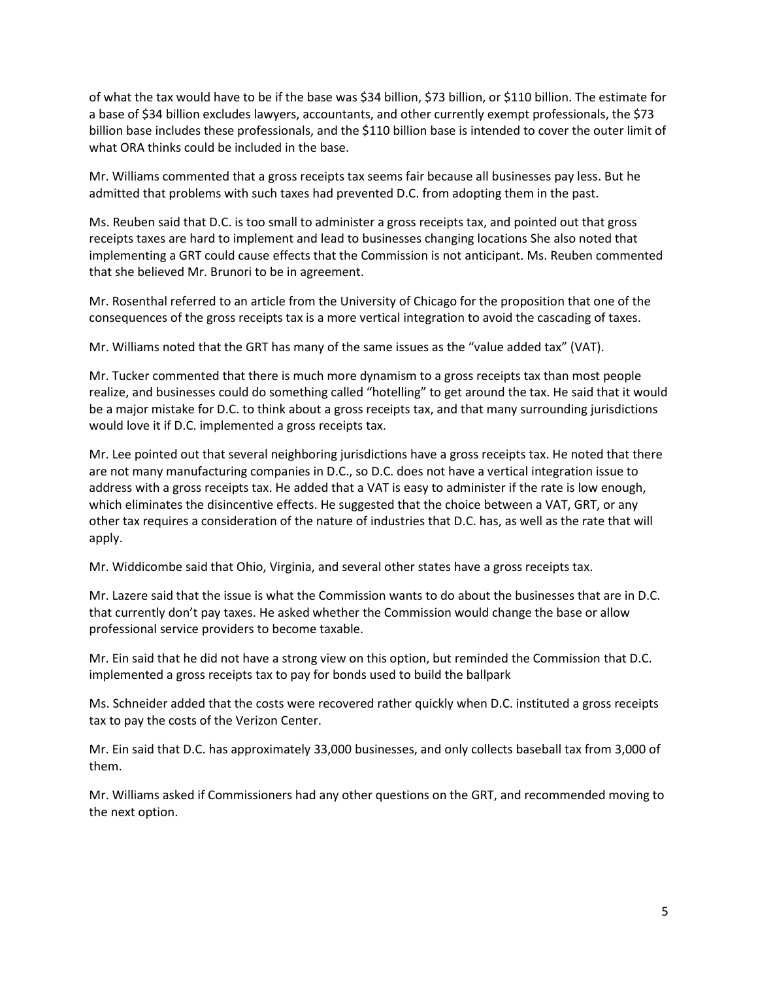of what the tax would have to be if the base was \$34 billion, \$73 billion, or \$110 billion. The estimate for a base of \$34 billion excludes lawyers, accountants, and other currently exempt professionals, the \$73 billion base includes these professionals, and the \$110 billion base is intended to cover the outer limit of what ORA thinks could be included in the base.

Mr. Williams commented that a gross receipts tax seems fair because all businesses pay less. But he admitted that problems with such taxes had prevented D.C. from adopting them in the past.

Ms. Reuben said that D.C. is too small to administer a gross receipts tax, and pointed out that gross receipts taxes are hard to implement and lead to businesses changing locations She also noted that implementing a GRT could cause effects that the Commission is not anticipant. Ms. Reuben commented that she believed Mr. Brunori to be in agreement.

Mr. Rosenthal referred to an article from the University of Chicago for the proposition that one of the consequences of the gross receipts tax is a more vertical integration to avoid the cascading of taxes.

Mr. Williams noted that the GRT has many of the same issues as the "value added tax" (VAT).

Mr. Tucker commented that there is much more dynamism to a gross receipts tax than most people realize, and businesses could do something called "hotelling" to get around the tax. He said that it would be a major mistake for D.C. to think about a gross receipts tax, and that many surrounding jurisdictions would love it if D.C. implemented a gross receipts tax.

Mr. Lee pointed out that several neighboring jurisdictions have a gross receipts tax. He noted that there are not many manufacturing companies in D.C., so D.C. does not have a vertical integration issue to address with a gross receipts tax. He added that a VAT is easy to administer if the rate is low enough, which eliminates the disincentive effects. He suggested that the choice between a VAT, GRT, or any other tax requires a consideration of the nature of industries that D.C. has, as well as the rate that will apply.

Mr. Widdicombe said that Ohio, Virginia, and several other states have a gross receipts tax.

Mr. Lazere said that the issue is what the Commission wants to do about the businesses that are in D.C. that currently don't pay taxes. He asked whether the Commission would change the base or allow professional service providers to become taxable.

Mr. Ein said that he did not have a strong view on this option, but reminded the Commission that D.C. implemented a gross receipts tax to pay for bonds used to build the ballpark

Ms. Schneider added that the costs were recovered rather quickly when D.C. instituted a gross receipts tax to pay the costs of the Verizon Center.

Mr. Ein said that D.C. has approximately 33,000 businesses, and only collects baseball tax from 3,000 of them.

Mr. Williams asked if Commissioners had any other questions on the GRT, and recommended moving to the next option.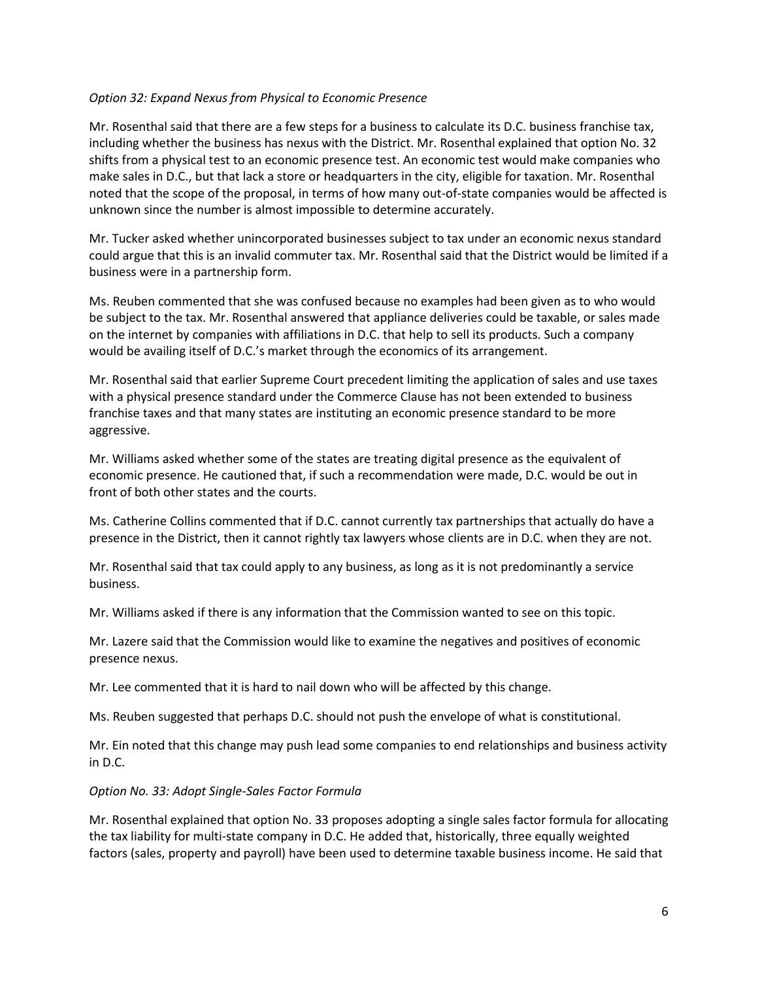#### *Option 32: Expand Nexus from Physical to Economic Presence*

Mr. Rosenthal said that there are a few steps for a business to calculate its D.C. business franchise tax, including whether the business has nexus with the District. Mr. Rosenthal explained that option No. 32 shifts from a physical test to an economic presence test. An economic test would make companies who make sales in D.C., but that lack a store or headquarters in the city, eligible for taxation. Mr. Rosenthal noted that the scope of the proposal, in terms of how many out-of-state companies would be affected is unknown since the number is almost impossible to determine accurately.

Mr. Tucker asked whether unincorporated businesses subject to tax under an economic nexus standard could argue that this is an invalid commuter tax. Mr. Rosenthal said that the District would be limited if a business were in a partnership form.

Ms. Reuben commented that she was confused because no examples had been given as to who would be subject to the tax. Mr. Rosenthal answered that appliance deliveries could be taxable, or sales made on the internet by companies with affiliations in D.C. that help to sell its products. Such a company would be availing itself of D.C.'s market through the economics of its arrangement.

Mr. Rosenthal said that earlier Supreme Court precedent limiting the application of sales and use taxes with a physical presence standard under the Commerce Clause has not been extended to business franchise taxes and that many states are instituting an economic presence standard to be more aggressive.

Mr. Williams asked whether some of the states are treating digital presence as the equivalent of economic presence. He cautioned that, if such a recommendation were made, D.C. would be out in front of both other states and the courts.

Ms. Catherine Collins commented that if D.C. cannot currently tax partnerships that actually do have a presence in the District, then it cannot rightly tax lawyers whose clients are in D.C. when they are not.

Mr. Rosenthal said that tax could apply to any business, as long as it is not predominantly a service business.

Mr. Williams asked if there is any information that the Commission wanted to see on this topic.

Mr. Lazere said that the Commission would like to examine the negatives and positives of economic presence nexus.

Mr. Lee commented that it is hard to nail down who will be affected by this change.

Ms. Reuben suggested that perhaps D.C. should not push the envelope of what is constitutional.

Mr. Ein noted that this change may push lead some companies to end relationships and business activity in D.C.

# *Option No. 33: Adopt Single-Sales Factor Formula*

Mr. Rosenthal explained that option No. 33 proposes adopting a single sales factor formula for allocating the tax liability for multi-state company in D.C. He added that, historically, three equally weighted factors (sales, property and payroll) have been used to determine taxable business income. He said that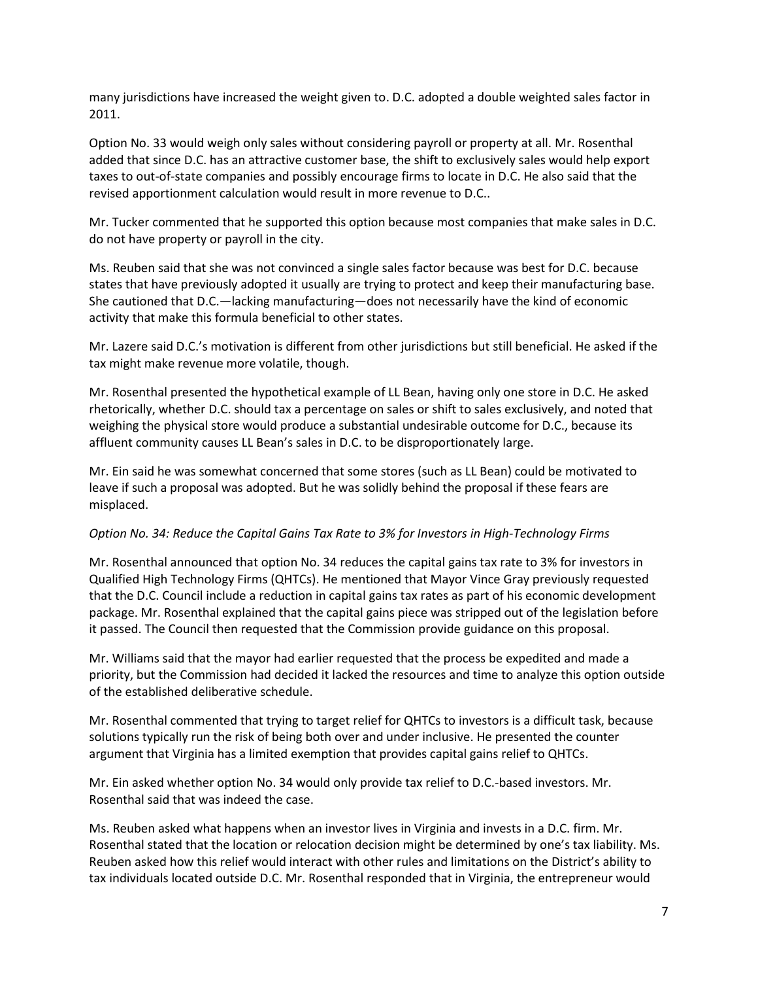many jurisdictions have increased the weight given to. D.C. adopted a double weighted sales factor in 2011.

Option No. 33 would weigh only sales without considering payroll or property at all. Mr. Rosenthal added that since D.C. has an attractive customer base, the shift to exclusively sales would help export taxes to out-of-state companies and possibly encourage firms to locate in D.C. He also said that the revised apportionment calculation would result in more revenue to D.C..

Mr. Tucker commented that he supported this option because most companies that make sales in D.C. do not have property or payroll in the city.

Ms. Reuben said that she was not convinced a single sales factor because was best for D.C. because states that have previously adopted it usually are trying to protect and keep their manufacturing base. She cautioned that D.C.—lacking manufacturing—does not necessarily have the kind of economic activity that make this formula beneficial to other states.

Mr. Lazere said D.C.'s motivation is different from other jurisdictions but still beneficial. He asked if the tax might make revenue more volatile, though.

Mr. Rosenthal presented the hypothetical example of LL Bean, having only one store in D.C. He asked rhetorically, whether D.C. should tax a percentage on sales or shift to sales exclusively, and noted that weighing the physical store would produce a substantial undesirable outcome for D.C., because its affluent community causes LL Bean's sales in D.C. to be disproportionately large.

Mr. Ein said he was somewhat concerned that some stores (such as LL Bean) could be motivated to leave if such a proposal was adopted. But he was solidly behind the proposal if these fears are misplaced.

#### *Option No. 34: Reduce the Capital Gains Tax Rate to 3% for Investors in High-Technology Firms*

Mr. Rosenthal announced that option No. 34 reduces the capital gains tax rate to 3% for investors in Qualified High Technology Firms (QHTCs). He mentioned that Mayor Vince Gray previously requested that the D.C. Council include a reduction in capital gains tax rates as part of his economic development package. Mr. Rosenthal explained that the capital gains piece was stripped out of the legislation before it passed. The Council then requested that the Commission provide guidance on this proposal.

Mr. Williams said that the mayor had earlier requested that the process be expedited and made a priority, but the Commission had decided it lacked the resources and time to analyze this option outside of the established deliberative schedule.

Mr. Rosenthal commented that trying to target relief for QHTCs to investors is a difficult task, because solutions typically run the risk of being both over and under inclusive. He presented the counter argument that Virginia has a limited exemption that provides capital gains relief to QHTCs.

Mr. Ein asked whether option No. 34 would only provide tax relief to D.C.-based investors. Mr. Rosenthal said that was indeed the case.

Ms. Reuben asked what happens when an investor lives in Virginia and invests in a D.C. firm. Mr. Rosenthal stated that the location or relocation decision might be determined by one's tax liability. Ms. Reuben asked how this relief would interact with other rules and limitations on the District's ability to tax individuals located outside D.C. Mr. Rosenthal responded that in Virginia, the entrepreneur would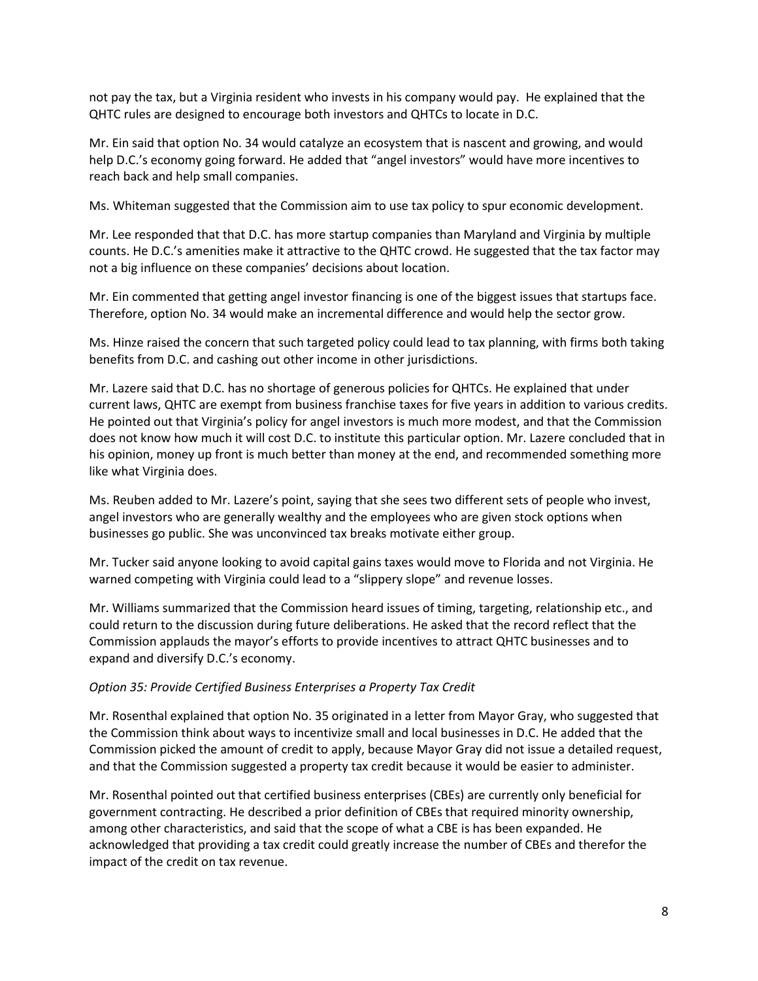not pay the tax, but a Virginia resident who invests in his company would pay. He explained that the QHTC rules are designed to encourage both investors and QHTCs to locate in D.C.

Mr. Ein said that option No. 34 would catalyze an ecosystem that is nascent and growing, and would help D.C.'s economy going forward. He added that "angel investors" would have more incentives to reach back and help small companies.

Ms. Whiteman suggested that the Commission aim to use tax policy to spur economic development.

Mr. Lee responded that that D.C. has more startup companies than Maryland and Virginia by multiple counts. He D.C.'s amenities make it attractive to the QHTC crowd. He suggested that the tax factor may not a big influence on these companies' decisions about location.

Mr. Ein commented that getting angel investor financing is one of the biggest issues that startups face. Therefore, option No. 34 would make an incremental difference and would help the sector grow.

Ms. Hinze raised the concern that such targeted policy could lead to tax planning, with firms both taking benefits from D.C. and cashing out other income in other jurisdictions.

Mr. Lazere said that D.C. has no shortage of generous policies for QHTCs. He explained that under current laws, QHTC are exempt from business franchise taxes for five years in addition to various credits. He pointed out that Virginia's policy for angel investors is much more modest, and that the Commission does not know how much it will cost D.C. to institute this particular option. Mr. Lazere concluded that in his opinion, money up front is much better than money at the end, and recommended something more like what Virginia does.

Ms. Reuben added to Mr. Lazere's point, saying that she sees two different sets of people who invest, angel investors who are generally wealthy and the employees who are given stock options when businesses go public. She was unconvinced tax breaks motivate either group.

Mr. Tucker said anyone looking to avoid capital gains taxes would move to Florida and not Virginia. He warned competing with Virginia could lead to a "slippery slope" and revenue losses.

Mr. Williams summarized that the Commission heard issues of timing, targeting, relationship etc., and could return to the discussion during future deliberations. He asked that the record reflect that the Commission applauds the mayor's efforts to provide incentives to attract QHTC businesses and to expand and diversify D.C.'s economy.

# *Option 35: Provide Certified Business Enterprises a Property Tax Credit*

Mr. Rosenthal explained that option No. 35 originated in a letter from Mayor Gray, who suggested that the Commission think about ways to incentivize small and local businesses in D.C. He added that the Commission picked the amount of credit to apply, because Mayor Gray did not issue a detailed request, and that the Commission suggested a property tax credit because it would be easier to administer.

Mr. Rosenthal pointed out that certified business enterprises (CBEs) are currently only beneficial for government contracting. He described a prior definition of CBEs that required minority ownership, among other characteristics, and said that the scope of what a CBE is has been expanded. He acknowledged that providing a tax credit could greatly increase the number of CBEs and therefor the impact of the credit on tax revenue.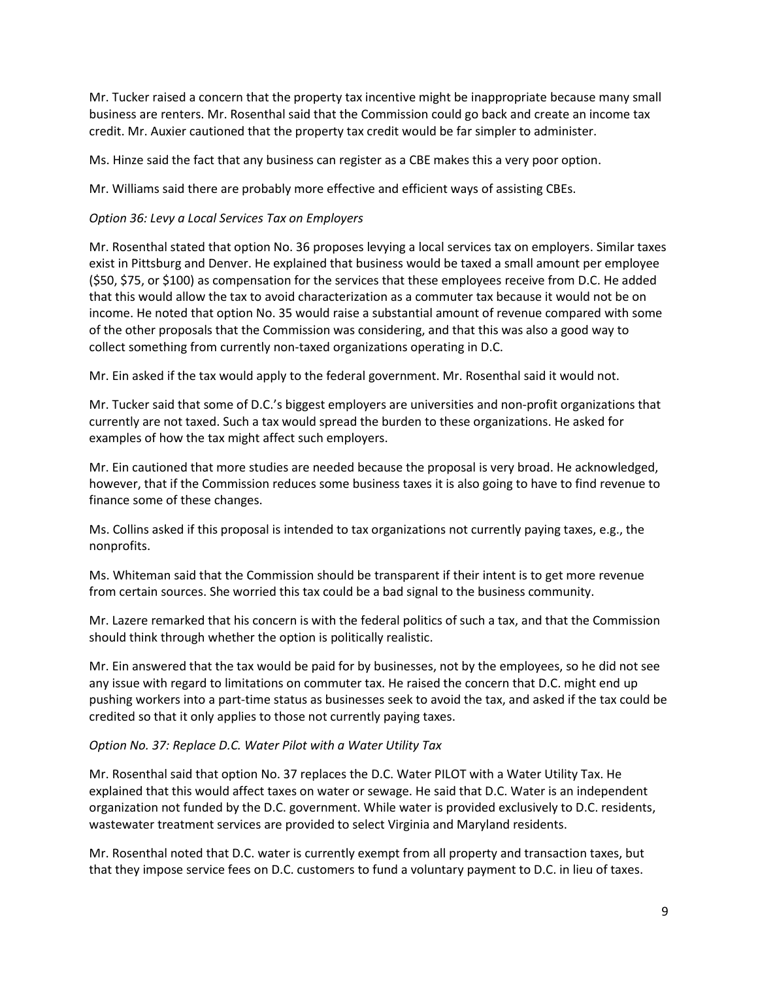Mr. Tucker raised a concern that the property tax incentive might be inappropriate because many small business are renters. Mr. Rosenthal said that the Commission could go back and create an income tax credit. Mr. Auxier cautioned that the property tax credit would be far simpler to administer.

Ms. Hinze said the fact that any business can register as a CBE makes this a very poor option.

Mr. Williams said there are probably more effective and efficient ways of assisting CBEs.

#### *Option 36: Levy a Local Services Tax on Employers*

Mr. Rosenthal stated that option No. 36 proposes levying a local services tax on employers. Similar taxes exist in Pittsburg and Denver. He explained that business would be taxed a small amount per employee (\$50, \$75, or \$100) as compensation for the services that these employees receive from D.C. He added that this would allow the tax to avoid characterization as a commuter tax because it would not be on income. He noted that option No. 35 would raise a substantial amount of revenue compared with some of the other proposals that the Commission was considering, and that this was also a good way to collect something from currently non-taxed organizations operating in D.C.

Mr. Ein asked if the tax would apply to the federal government. Mr. Rosenthal said it would not.

Mr. Tucker said that some of D.C.'s biggest employers are universities and non-profit organizations that currently are not taxed. Such a tax would spread the burden to these organizations. He asked for examples of how the tax might affect such employers.

Mr. Ein cautioned that more studies are needed because the proposal is very broad. He acknowledged, however, that if the Commission reduces some business taxes it is also going to have to find revenue to finance some of these changes.

Ms. Collins asked if this proposal is intended to tax organizations not currently paying taxes, e.g., the nonprofits.

Ms. Whiteman said that the Commission should be transparent if their intent is to get more revenue from certain sources. She worried this tax could be a bad signal to the business community.

Mr. Lazere remarked that his concern is with the federal politics of such a tax, and that the Commission should think through whether the option is politically realistic.

Mr. Ein answered that the tax would be paid for by businesses, not by the employees, so he did not see any issue with regard to limitations on commuter tax. He raised the concern that D.C. might end up pushing workers into a part-time status as businesses seek to avoid the tax, and asked if the tax could be credited so that it only applies to those not currently paying taxes.

#### *Option No. 37: Replace D.C. Water Pilot with a Water Utility Tax*

Mr. Rosenthal said that option No. 37 replaces the D.C. Water PILOT with a Water Utility Tax. He explained that this would affect taxes on water or sewage. He said that D.C. Water is an independent organization not funded by the D.C. government. While water is provided exclusively to D.C. residents, wastewater treatment services are provided to select Virginia and Maryland residents.

Mr. Rosenthal noted that D.C. water is currently exempt from all property and transaction taxes, but that they impose service fees on D.C. customers to fund a voluntary payment to D.C. in lieu of taxes.